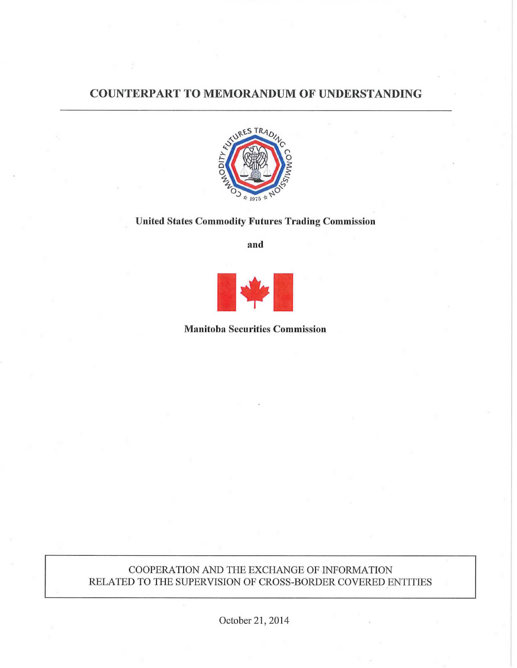# COUNTERPART TO MEMORANDUM OF UNDERSTANDING



# United States Commodity Futures Trading Commission

and



#### Manitoba Securities Commission

## COOPERATION AND THE EXCHANGE OF INFORMATION RELATED TO THE SUPERVISION OF CROSS-BORDER COVERED ENTITIES

October 21, 2014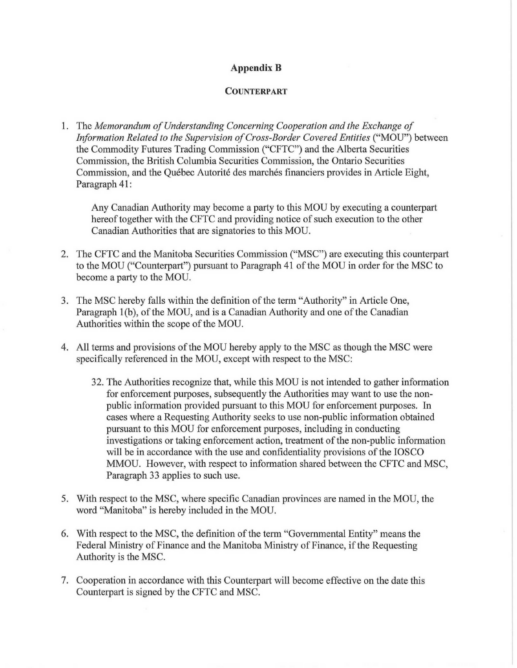## **Appendix B**

#### **COUNTERPART**

1. The *Memorandum of Understanding Concerning Cooperation and the Exchange of Information Related to the Supervision of Cross-Border Covered Entities* ("MOU") between the Commodity Futures Trading Commission ("CFTC") and the Alberta Securities Commission, the British Columbia Securities Commission, the Ontario Securities Commission, and the Québec Autorité des marchés financiers provides in Article Eight, Paragraph 41:

Any Canadian Authority may become a party to this MOU by executing a counterpart hereof together with the CFTC and providing notice of such execution to the other Canadian Authorities that are signatories to this MOU.

- 2. The CFTC and the Manitoba Securities Commission ("MSC") are executing this counterpart to the MOU ("Counterpart") pursuant to Paragraph 41 of the MOU in order for the MSC to become a party to the MOU.
- 3. The MSC hereby falls within the definition of the term "Authority" in Article One, Paragraph 1(b), of the MOU, and is a Canadian Authority and one of the Canadian Authorities within the scope of the MOU.
- 4. All terms and provisions of the MOU hereby apply to the MSC as though the MSC were specifically referenced in the MOU, except with respect to the MSC:
	- 32. The Authorities recognize that, while this MOU is not intended to gather information for enforcement purposes, subsequently the Authorities may want to use the nonpublic information provided pursuant to this MOU for enforcement purposes. In cases where a Requesting Authority seeks to use non-public information obtained pursuant to this MOU for enforcement purposes, including in conducting investigations or taking enforcement action, treatment of the non-public information will be in accordance with the use and confidentiality provisions of the IOSCO MMOU. However, with respect to information shared between the CFTC and MSC, Paragraph 33 applies to such use.
- 5. With respect to the MSC, where specific Canadian provinces are named in the MOU, the word "Manitoba" is hereby included in the MOU.
- 6. With respect to the MSC, the definition of the term "Governmental Entity" means the Federal Ministry of Finance and the Manitoba Ministry of Finance, if the Requesting Authority is the MSC.
- 7. Cooperation in accordance with this Counterpart will become effective on the date this Counterpart is signed by the CFTC and MSC.